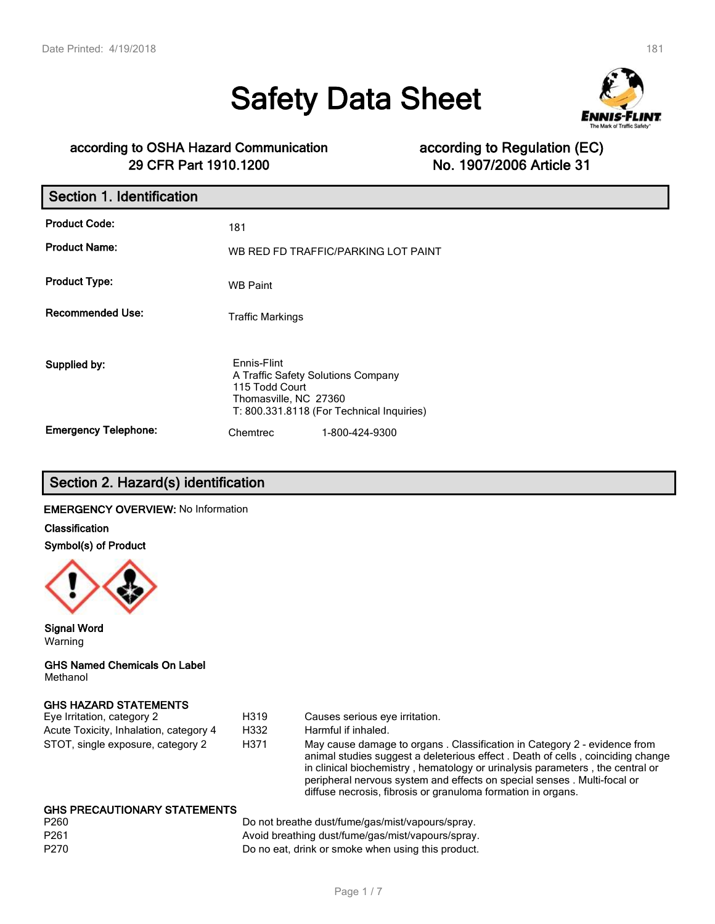# **Safety Data Sheet**



# **according to OSHA Hazard Communication according to Regulation (EC) 29 CFR Part 1910.1200 No. 1907/2006 Article 31**

| Section 1. Identification   |                                                                                              |                                           |
|-----------------------------|----------------------------------------------------------------------------------------------|-------------------------------------------|
| <b>Product Code:</b>        | 181                                                                                          |                                           |
| <b>Product Name:</b>        |                                                                                              | WB RED FD TRAFFIC/PARKING LOT PAINT       |
| <b>Product Type:</b>        | <b>WB Paint</b>                                                                              |                                           |
| <b>Recommended Use:</b>     | <b>Traffic Markings</b>                                                                      |                                           |
| Supplied by:                | Ennis-Flint<br>A Traffic Safety Solutions Company<br>115 Todd Court<br>Thomasville, NC 27360 | T: 800.331.8118 (For Technical Inquiries) |
| <b>Emergency Telephone:</b> | Chemtrec                                                                                     | 1-800-424-9300                            |

# **Section 2. Hazard(s) identification**

# **EMERGENCY OVERVIEW:** No Information

**Classification**

**Symbol(s) of Product**



**Signal Word** Warning

#### **GHS Named Chemicals On Label** Methanol

# **GHS HAZARD STATEMENTS**

| Eye Irritation, category 2             | H319 | Causes serious eye irritation.                                                                                                                                                                                                                                                                                                                                                         |
|----------------------------------------|------|----------------------------------------------------------------------------------------------------------------------------------------------------------------------------------------------------------------------------------------------------------------------------------------------------------------------------------------------------------------------------------------|
| Acute Toxicity, Inhalation, category 4 | H332 | Harmful if inhaled.                                                                                                                                                                                                                                                                                                                                                                    |
| STOT, single exposure, category 2      | H371 | May cause damage to organs. Classification in Category 2 - evidence from<br>animal studies suggest a deleterious effect. Death of cells, coinciding change<br>in clinical biochemistry, hematology or urinalysis parameters, the central or<br>peripheral nervous system and effects on special senses. Multi-focal or<br>diffuse necrosis, fibrosis or granuloma formation in organs. |
| CHO DDECAUTIONADY CTATEMENTO           |      |                                                                                                                                                                                                                                                                                                                                                                                        |

#### **GHS PRECAUTIONARY STATEMENTS**

| P260 | Do not breathe dust/fume/gas/mist/vapours/spray.   |
|------|----------------------------------------------------|
| P261 | Avoid breathing dust/fume/gas/mist/vapours/spray.  |
| P270 | Do no eat, drink or smoke when using this product. |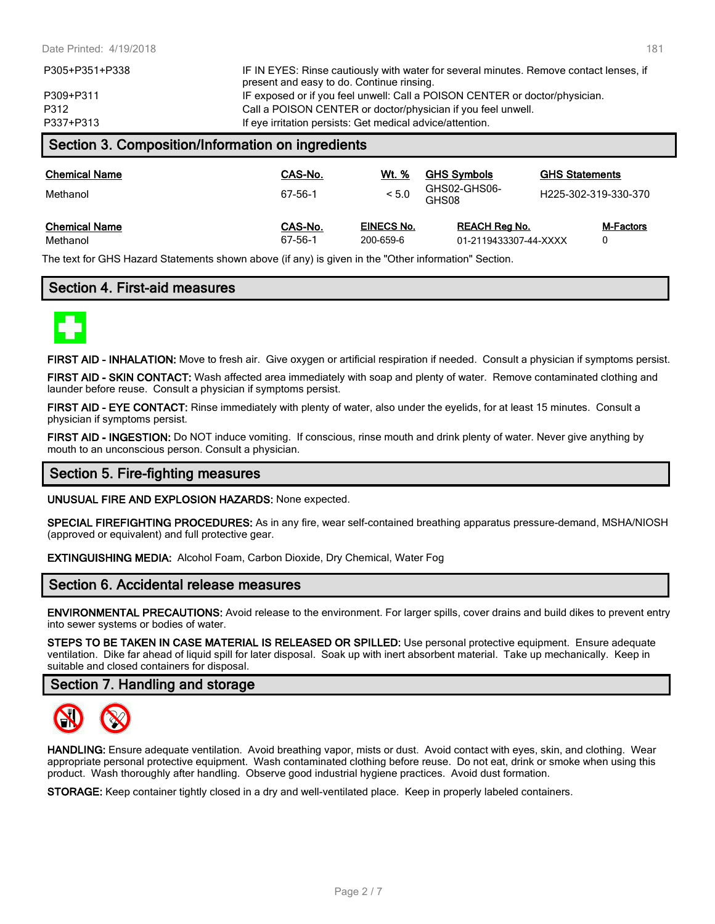| P337+P313      | If eye irritation persists: Get medical advice/attention.                              |
|----------------|----------------------------------------------------------------------------------------|
| P312           | Call a POISON CENTER or doctor/physician if you feel unwell.                           |
| P309+P311      | IF exposed or if you feel unwell: Call a POISON CENTER or doctor/physician.            |
|                | present and easy to do. Continue rinsing.                                              |
| P305+P351+P338 | IF IN EYES: Rinse cautiously with water for several minutes. Remove contact lenses, if |

# **Section 3. Composition/Information on ingredients**

| <b>Chemical Name</b><br>Methanol | CAS-No.<br>67-56-1 | Wt. %<br>< 5.0    | <b>GHS Symbols</b><br>GHS02-GHS06-<br>GHS08 | <b>GHS Statements</b><br>H225-302-319-330-370 |
|----------------------------------|--------------------|-------------------|---------------------------------------------|-----------------------------------------------|
| <b>Chemical Name</b>             | CAS-No.            | <b>EINECS No.</b> | <b>REACH Reg No.</b>                        | <b>M-Factors</b>                              |
| Methanol                         | 67-56-1            | 200-659-6         | 01-2119433307-44-XXXX                       |                                               |

The text for GHS Hazard Statements shown above (if any) is given in the "Other information" Section.

# **Section 4. First-aid measures**



**FIRST AID - INHALATION:** Move to fresh air. Give oxygen or artificial respiration if needed. Consult a physician if symptoms persist.

**FIRST AID - SKIN CONTACT:** Wash affected area immediately with soap and plenty of water. Remove contaminated clothing and launder before reuse. Consult a physician if symptoms persist.

**FIRST AID - EYE CONTACT:** Rinse immediately with plenty of water, also under the eyelids, for at least 15 minutes. Consult a physician if symptoms persist.

**FIRST AID - INGESTION:** Do NOT induce vomiting. If conscious, rinse mouth and drink plenty of water. Never give anything by mouth to an unconscious person. Consult a physician.

# **Section 5. Fire-fighting measures**

**UNUSUAL FIRE AND EXPLOSION HAZARDS:** None expected.

**SPECIAL FIREFIGHTING PROCEDURES:** As in any fire, wear self-contained breathing apparatus pressure-demand, MSHA/NIOSH (approved or equivalent) and full protective gear.

**EXTINGUISHING MEDIA:** Alcohol Foam, Carbon Dioxide, Dry Chemical, Water Fog

# **Section 6. Accidental release measures**

**ENVIRONMENTAL PRECAUTIONS:** Avoid release to the environment. For larger spills, cover drains and build dikes to prevent entry into sewer systems or bodies of water.

**STEPS TO BE TAKEN IN CASE MATERIAL IS RELEASED OR SPILLED:** Use personal protective equipment. Ensure adequate ventilation. Dike far ahead of liquid spill for later disposal. Soak up with inert absorbent material. Take up mechanically. Keep in suitable and closed containers for disposal.

# **Section 7. Handling and storage**



**HANDLING:** Ensure adequate ventilation. Avoid breathing vapor, mists or dust. Avoid contact with eyes, skin, and clothing. Wear appropriate personal protective equipment. Wash contaminated clothing before reuse. Do not eat, drink or smoke when using this product. Wash thoroughly after handling. Observe good industrial hygiene practices. Avoid dust formation.

**STORAGE:** Keep container tightly closed in a dry and well-ventilated place. Keep in properly labeled containers.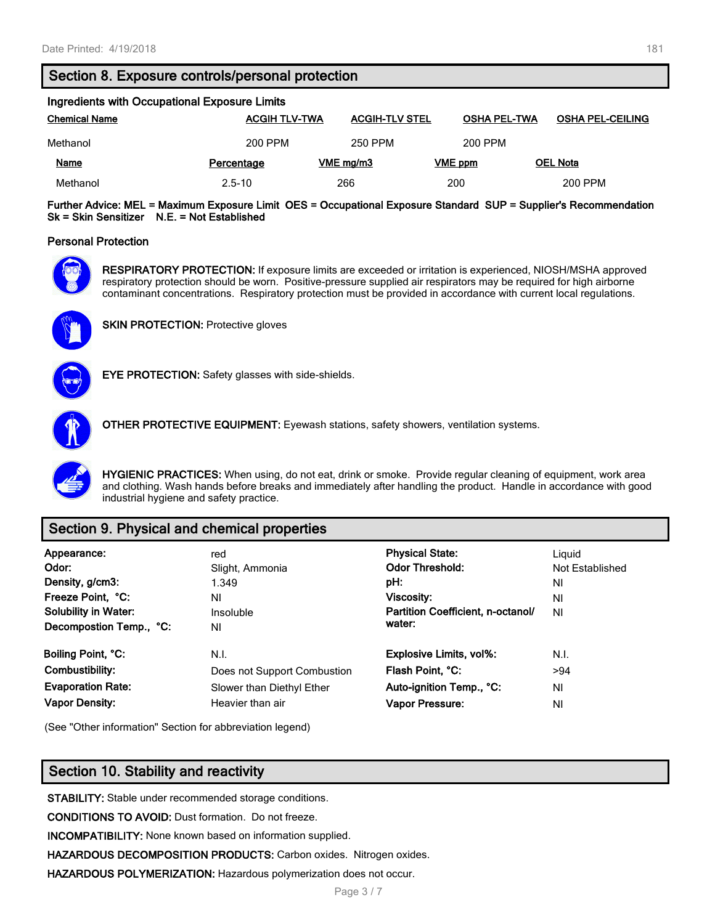# **Section 8. Exposure controls/personal protection**

| Ingredients with Occupational Exposure Limits |                      |                       |                     |                         |  |
|-----------------------------------------------|----------------------|-----------------------|---------------------|-------------------------|--|
| <b>Chemical Name</b>                          | <b>ACGIH TLV-TWA</b> | <b>ACGIH-TLV STEL</b> | <b>OSHA PEL-TWA</b> | <b>OSHA PEL-CEILING</b> |  |
| Methanol                                      | 200 PPM              | 250 PPM               | 200 PPM             |                         |  |
| <b>Name</b>                                   | Percentage           | VME mg/m3             | VME ppm             | <b>OEL Nota</b>         |  |
| Methanol                                      | $2.5 - 10$           | 266                   | 200                 | 200 PPM                 |  |

**Further Advice: MEL = Maximum Exposure Limit OES = Occupational Exposure Standard SUP = Supplier's Recommendation Sk = Skin Sensitizer N.E. = Not Established**

#### **Personal Protection**



**RESPIRATORY PROTECTION:** If exposure limits are exceeded or irritation is experienced, NIOSH/MSHA approved respiratory protection should be worn. Positive-pressure supplied air respirators may be required for high airborne contaminant concentrations. Respiratory protection must be provided in accordance with current local regulations.



**SKIN PROTECTION:** Protective gloves



**EYE PROTECTION:** Safety glasses with side-shields.



**OTHER PROTECTIVE EQUIPMENT:** Eyewash stations, safety showers, ventilation systems.

**HYGIENIC PRACTICES:** When using, do not eat, drink or smoke. Provide regular cleaning of equipment, work area and clothing. Wash hands before breaks and immediately after handling the product. Handle in accordance with good industrial hygiene and safety practice.

# **Section 9. Physical and chemical properties**

| Appearance:<br>Odor:<br>Density, g/cm3:<br>Freeze Point, °C:<br><b>Solubility in Water:</b><br>Decompostion Temp., °C: | red<br>Slight, Ammonia<br>1.349<br>NI<br>Insoluble<br>ΝI | <b>Physical State:</b><br><b>Odor Threshold:</b><br>pH:<br>Viscosity:<br>Partition Coefficient, n-octanol/<br>water: | Liguid<br>Not Established<br>ΝI<br>ΝI<br><b>NI</b> |
|------------------------------------------------------------------------------------------------------------------------|----------------------------------------------------------|----------------------------------------------------------------------------------------------------------------------|----------------------------------------------------|
| Boiling Point, °C:                                                                                                     | N.I.                                                     | <b>Explosive Limits, vol%:</b>                                                                                       | N.I.                                               |
| Combustibility:                                                                                                        | Does not Support Combustion                              | Flash Point, °C:                                                                                                     | >94                                                |
| <b>Evaporation Rate:</b>                                                                                               | Slower than Diethyl Ether                                | Auto-ignition Temp., °C:                                                                                             | ΝI                                                 |
| <b>Vapor Density:</b>                                                                                                  | Heavier than air                                         | <b>Vapor Pressure:</b>                                                                                               | ΝI                                                 |

(See "Other information" Section for abbreviation legend)

# **Section 10. Stability and reactivity**

**STABILITY:** Stable under recommended storage conditions.

**CONDITIONS TO AVOID:** Dust formation. Do not freeze.

**INCOMPATIBILITY:** None known based on information supplied.

**HAZARDOUS DECOMPOSITION PRODUCTS:** Carbon oxides. Nitrogen oxides.

**HAZARDOUS POLYMERIZATION:** Hazardous polymerization does not occur.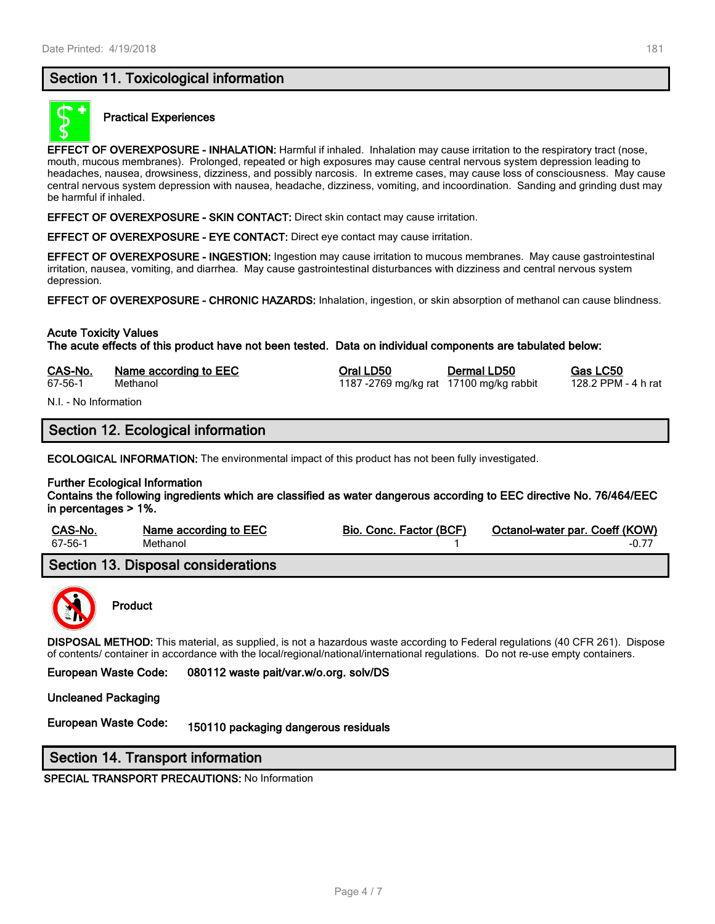# **Section 11. Toxicological information**



# **Practical Experiences**

**EFFECT OF OVEREXPOSURE - INHALATION:** Harmful if inhaled. Inhalation may cause irritation to the respiratory tract (nose, mouth, mucous membranes). Prolonged, repeated or high exposures may cause central nervous system depression leading to headaches, nausea, drowsiness, dizziness, and possibly narcosis. In extreme cases, may cause loss of consciousness. May cause central nervous system depression with nausea, headache, dizziness, vomiting, and incoordination. Sanding and grinding dust may be harmful if inhaled.

**EFFECT OF OVEREXPOSURE - SKIN CONTACT:** Direct skin contact may cause irritation.

**EFFECT OF OVEREXPOSURE - EYE CONTACT:** Direct eye contact may cause irritation.

**EFFECT OF OVEREXPOSURE - INGESTION:** Ingestion may cause irritation to mucous membranes. May cause gastrointestinal irritation, nausea, vomiting, and diarrhea. May cause gastrointestinal disturbances with dizziness and central nervous system depression.

**EFFECT OF OVEREXPOSURE - CHRONIC HAZARDS:** Inhalation, ingestion, or skin absorption of methanol can cause blindness.

#### **Acute Toxicity Values**

**The acute effects of this product have not been tested. Data on individual components are tabulated below:**

| CAS-No. | Name according to EEC | Oral LD50                              | Dermal LD50 | Gas LC50            |
|---------|-----------------------|----------------------------------------|-------------|---------------------|
| 67-56-1 | Methanol              | 1187-2769 mg/kg rat 17100 mg/kg rabbit |             | 128.2 PPM - 4 h rat |

N.I. - No Information

# **Section 12. Ecological information**

**ECOLOGICAL INFORMATION:** The environmental impact of this product has not been fully investigated.

#### **Further Ecological Information**

**Contains the following ingredients which are classified as water dangerous according to EEC directive No. 76/464/EEC in percentages > 1%.**

| CAS-No. | Name according to EEC               | Bio. Conc. Factor (BCF) | Octanol-water par. Coeff (KOW) |
|---------|-------------------------------------|-------------------------|--------------------------------|
| 67-56-1 | Methanol                            |                         | -0.77                          |
|         | Section 13. Disposal considerations |                         |                                |



# **Product**

**DISPOSAL METHOD:** This material, as supplied, is not a hazardous waste according to Federal regulations (40 CFR 261). Dispose of contents/ container in accordance with the local/regional/national/international regulations. Do not re-use empty containers.

**European Waste Code: 080112 waste pait/var.w/o.org. solv/DS**

**Uncleaned Packaging**

**European Waste Code: 150110 packaging dangerous residuals**

# **Section 14. Transport information**

**SPECIAL TRANSPORT PRECAUTIONS:** No Information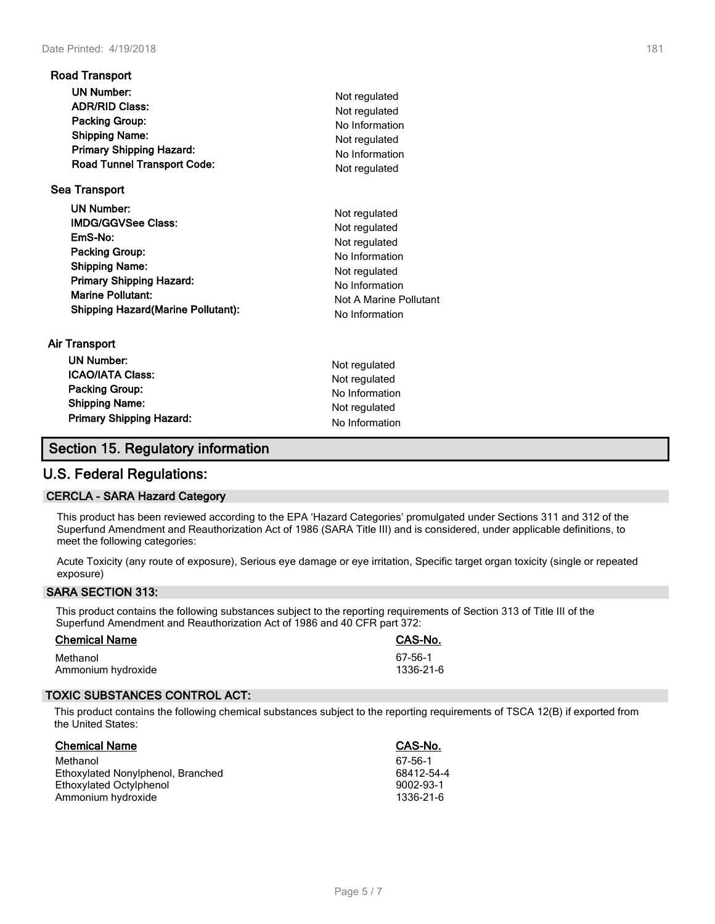| <b>Road Transport</b>                                                                                                                                                                                                                     |                                                                                                                                                  |
|-------------------------------------------------------------------------------------------------------------------------------------------------------------------------------------------------------------------------------------------|--------------------------------------------------------------------------------------------------------------------------------------------------|
| <b>UN Number:</b><br><b>ADR/RID Class:</b><br>Packing Group:<br><b>Shipping Name:</b><br><b>Primary Shipping Hazard:</b><br><b>Road Tunnel Transport Code:</b>                                                                            | Not regulated<br>Not regulated<br>No Information<br>Not regulated<br>No Information<br>Not regulated                                             |
| <b>Sea Transport</b><br><b>UN Number:</b><br><b>IMDG/GGVSee Class:</b><br>EmS-No:<br>Packing Group:<br><b>Shipping Name:</b><br><b>Primary Shipping Hazard:</b><br><b>Marine Pollutant:</b><br><b>Shipping Hazard (Marine Pollutant):</b> | Not regulated<br>Not regulated<br>Not regulated<br>No Information<br>Not regulated<br>No Information<br>Not A Marine Pollutant<br>No Information |
| Air Transport<br><b>UN Number:</b><br><b>ICAO/IATA Class:</b><br><b>Packing Group:</b>                                                                                                                                                    | Not regulated<br>Not regulated<br>No Information                                                                                                 |

**Shipping Name:** Not regulated **Primary Shipping Hazard:** No Information

# **U.S. Federal Regulations:**

#### **CERCLA - SARA Hazard Category**

This product has been reviewed according to the EPA 'Hazard Categories' promulgated under Sections 311 and 312 of the Superfund Amendment and Reauthorization Act of 1986 (SARA Title III) and is considered, under applicable definitions, to meet the following categories:

Acute Toxicity (any route of exposure), Serious eye damage or eye irritation, Specific target organ toxicity (single or repeated exposure)

#### **SARA SECTION 313:**

This product contains the following substances subject to the reporting requirements of Section 313 of Title III of the Superfund Amendment and Reauthorization Act of 1986 and 40 CFR part 372:

| <b>Chemical Name</b> | CAS-No.   |
|----------------------|-----------|
| Methanol             | 67-56-1   |
| Ammonium hydroxide   | 1336-21-6 |

# **TOXIC SUBSTANCES CONTROL ACT:**

This product contains the following chemical substances subject to the reporting requirements of TSCA 12(B) if exported from the United States:

| <b>Chemical Name</b>              | CAS-No.         |
|-----------------------------------|-----------------|
| Methanol                          | 67-56-1         |
| Ethoxylated Nonylphenol, Branched | 68412-54-4      |
| Ethoxylated Octylphenol           | $9002 - 93 - 1$ |
| Ammonium hydroxide                | 1336-21-6       |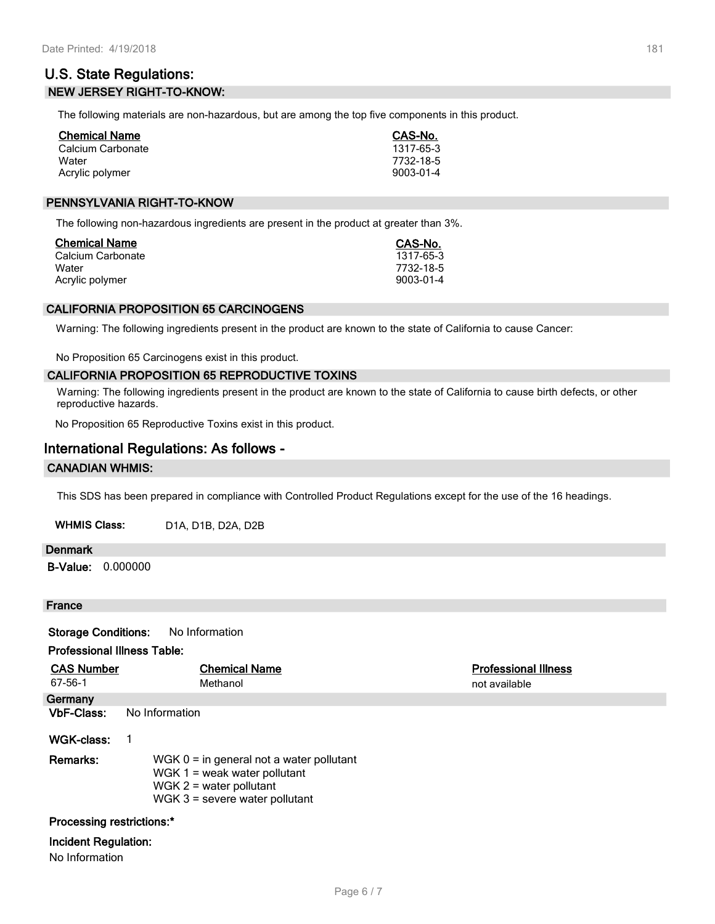# **U.S. State Regulations: NEW JERSEY RIGHT-TO-KNOW:**

The following materials are non-hazardous, but are among the top five components in this product.

| <b>Chemical Name</b> | CAS-No.   |
|----------------------|-----------|
| Calcium Carbonate    | 1317-65-3 |
| Water                | 7732-18-5 |
| Acrylic polymer      | 9003-01-4 |

#### **PENNSYLVANIA RIGHT-TO-KNOW**

The following non-hazardous ingredients are present in the product at greater than 3%.

| Chemical Name     | CAS-No.   |
|-------------------|-----------|
| Calcium Carbonate | 1317-65-3 |
| Water             | 7732-18-5 |
| Acrylic polymer   | 9003-01-4 |

#### **CALIFORNIA PROPOSITION 65 CARCINOGENS**

Warning: The following ingredients present in the product are known to the state of California to cause Cancer:

No Proposition 65 Carcinogens exist in this product.

#### **CALIFORNIA PROPOSITION 65 REPRODUCTIVE TOXINS**

Warning: The following ingredients present in the product are known to the state of California to cause birth defects, or other reproductive hazards.

No Proposition 65 Reproductive Toxins exist in this product.

# **International Regulations: As follows -**

#### **CANADIAN WHMIS:**

This SDS has been prepared in compliance with Controlled Product Regulations except for the use of the 16 headings.

| <b>WHMIS Class:</b> | D1A, D1B, D2A, D2B |
|---------------------|--------------------|
|---------------------|--------------------|

#### **Denmark**

**B-Value:** 0.000000

# **France**

**Storage Conditions:** No Information

#### **Professional Illness Table:**

| <b>CAS Number</b>           | <b>Chemical Name</b>                                                                                                                          | <b>Professional Illness</b> |  |
|-----------------------------|-----------------------------------------------------------------------------------------------------------------------------------------------|-----------------------------|--|
| 67-56-1                     | Methanol                                                                                                                                      | not available               |  |
| Germany                     |                                                                                                                                               |                             |  |
| <b>VbF-Class:</b>           | No Information                                                                                                                                |                             |  |
| WGK-class:                  |                                                                                                                                               |                             |  |
| Remarks:                    | WGK $0 =$ in general not a water pollutant<br>WGK $1 =$ weak water pollutant<br>WGK $2$ = water pollutant<br>WGK $3$ = severe water pollutant |                             |  |
| Processing restrictions:*   |                                                                                                                                               |                             |  |
| <b>Incident Regulation:</b> |                                                                                                                                               |                             |  |

No Information